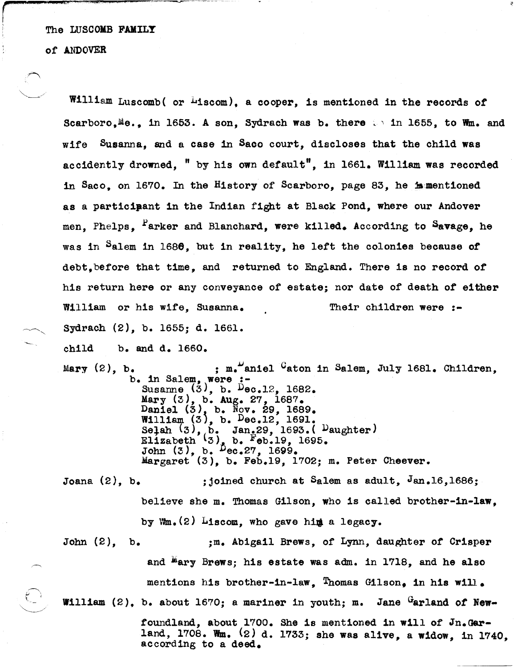of ANDOVER

K.

 $\mathcal{A}=\mathcal{N}$  . المبر<br>ال-

 $\textcolor{red}{\textcircled{}}$ William Luscomb( or <sup>L</sup>iscom), a cooper, is mentioned in the records of Scarboro.Me., in 1653. A son, Sydrach was b. there  $\therefore$  in 1655, to Wm. and wife Susanna, and a case in Saco court, discloses that the child was accidently drowned,  $"$  by his own default", in 1661. William was recorded in Saco, on 16'70. In the History of Scarboro, page 83, he js:mentioned as a participant in the Indian fight at Black Pond, where our Andover men. Phelps. Parker and Blanchard, were killed. According to Savage, he was in Salem in 1686, but in reality, he lett the colonies because *ot*  debt, before that time, and returned to England. There is no record of his return here or any conveyance *ot* estate; nor date *ot* death *ot* either William or his wife, Susanna. Their children were :-Sydrach (2), b. 1655; d. 1661. child b. and d. 1660. Mary  $(2)$ , b.  $\cdot$  ; m. aniel  $G$  aton in Salem, July 1681. Children, b. in Salem, were :- Susanne  $(3)$ , b. Dec.12, 1682. Mary (3), b. Aug. 27, 1687.  $D$ aniel  $(3)$ , b. Nov. 29, 1689. William *{3J,* b. Dec.12, 1691. Joana (2), b. John (2), b. Selah  $(3)$ ,  $b.$  Jan.29, 1693. (Daughter) Elizabeth  $(3)$ , b. Feb.19, 1695. John  $(3)$ , b.  $Dec.27$ , 1699. Margaret (3), b. Feb.19, 1702; m. Peter Cheever. ; joined church at Salem as adult,  $Jan.16,1686$ ; believe she m. Thomas Gilson, who is called brother-in-law, by  $W_m$ . $(2)$  Liscom, who gave him a legacy. ;m. Abigail Brews, of Lynn, daughter *ot* Crisper and  $\texttt{"ary Brews; his estate was adm. in 1718, and he also}$ mentions his brother-in-law. Thomas Gilson, in his will. William (2), b. about 1670; a mariner in youth; m. Jane Garland of Newfoundland, about 1700. She is mentioned in will of In.Gar-

land, 1708. Wm.  $(2)$  d. 1733; she was alive, a widow, in 1740, according to a deed.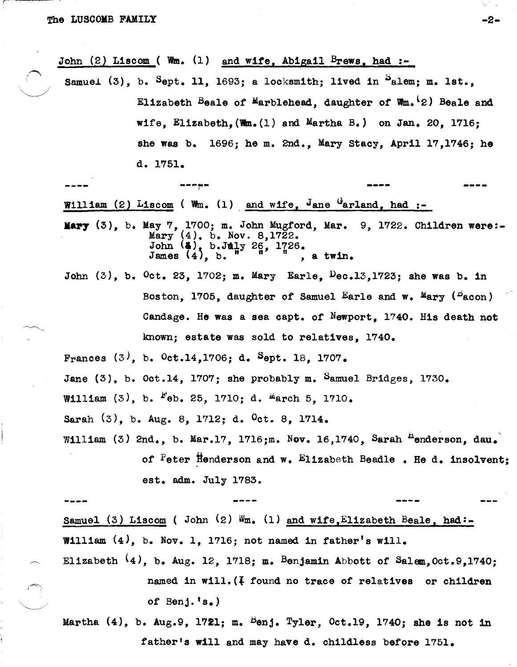$\sim$   $\sim$ 

John (2) Liscom ( Wm.  $(1)$  and wife, Abigail Brews, had :-

Samuel  $(3)$ , b. Sept. 11, 1693; a locksmith; lived in  $S$ alem; m. lst., Elizabeth Beale of Marblehead, daughter of  $W_m$ . 2) Beale and wife, Elizabeth,  $(\mathbf{W}\mathbf{m} \cdot (1)$  and Martha B.) on Jan. 20, 1716; she was b. 1696: he m. 2nd., Mary Stacy, April 17,1746; he d. 1751.

William (2) Liscom ( Wm. (1) and wife, Jane Garland, had :-

- Mary  $(3)$ , b. May 7, 1700; m. John Mugford, Mar. 9, 1722. Children were:- $(4)$ , b. Nov. 8,1722. John (**4)**, b.July 26, 1726.<br>James (4), b. ", a twin.
- John  $(3)$ , b. Oct. 23, 1702; m. Mary Earle,  $Dec.13, 1723$ ; she was b. in Boston, 1705, daughter of Samuel Earle and w. Mary (Pacon) Candage. He was a sea capt. of Newport, 1740. His death not known: estate was sold to relatives, 1740.

Frances (3), b. Oct.14,1706; d. Sept. 18, 1707. Jane  $(3)$ , b. Oct.14, 1707; she probably m. Samuel Bridges, 1730. William  $(3)$ , b.  $F_{\text{eb}}$ . 25, 1710; d.  $M_{\text{arch}}$  5, 1710. Sarah (3), b. Aug. 8, 1712; d. Oct. 8, 1714. William (3) 2nd., b. Mar.17, 1716;m. Nov. 16,1740, Sarah <sup>H</sup>enderson, dau. of Peter Henderson and w. Elizabeth Beadle . He d. insolvent;

est. adm. July 1783.

Samuel (3) Liscom ( John (2) Wm. (1) and wife, Elizabeth Beale, had:-William  $(4)$ , b. Nov. 1, 1716; not named in father's will.

Elizabeth  $(4)$ , b. Aug. 12, 1718; m. Benjamin Abbott of Salem, Oct.9,1740; named in will.  $(4$  found no trace of relatives or children of Benj.  $'s$ .)

Martha  $(4)$ , b. Aug.9, 1721; m. <sup>B</sup>enj. Tyler, Oct.19, 1740; she is not in father's will and may have d. childless before 1751.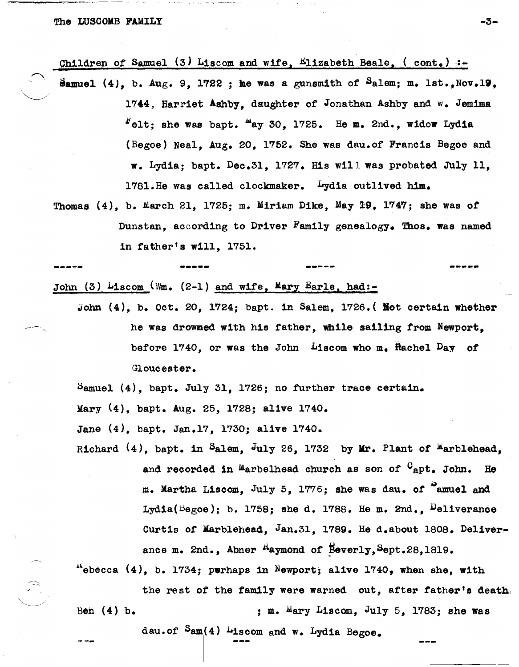.~.

Children of Samuel (3) Liscom and wife, Elizabeth Beale, (  $cont.$ ) :-

- Samuel (4), b. Aug. 9, 1722 ; he was a gunsmith of Salem; m. lst., Nov.19, 1744, Harriet Ashby, daughter of Jonathan Ashby and w. Jemima  $F_{\text{elt}}$ : she was bapt.  $\frac{m}{2}$ 30, 1725. He m. 2nd., widow Lydia (Begoe) Neal, Aug. 20, 1752. She was dau.of Francis Begoe and w. Lydia; bapt. Dec.3l, 1727. His will was probated July 11, 1781.He was called clockmaker. Lydia outlived him.
- Thomas  $(4)$ , b. March 21, 1725; m. Miriam Dike, May 29, 1747; she was of Dunstan, according to Driver Family genealogy. Thos. was named in father's will, 1751.

John (3) Liscom ( $Wm.$  (2-1) and wife, Mary Earle, had:-

John (4), b. Oct. 20, 1724; bapt. in Salem, 1726.( Kot certain whether he was drowmed with his father, while sailing from Newport. before  $1740$ , or was the John Liscom who m. Hachel Day of Gloucester.

**------ \_ ... \_--**

Samuel (4), bapt. July 31, 1726; no further trace certain.

Mary (4), bapt. Aug. 25, l72S; alive 1740.

Jane (4), bapt. Jan.l?, 1730; alive 1740.

Richard (4), bapt. in Salem, July 26, 1732 by Mr. Plant of <sup>M</sup>arblehead, and recorded in Marbelhead church as son of  $C_{\text{apt.}}$  John. He m. Martha Liscom, July 5, 1776; she was dau. of <sup>S</sup>amuel and Lydia( $Begoe$ ); b. 1758; she d. 1788. He m. 2nd.,  $D$ eliverance Curtis of Marblehead, Jan.31, 1789. He d.about 1808. Deliverance m. 2nd., Abner <sup>R</sup>aymond of Beverly, Sept.28,1819.

 $A_{\text{e}}$ becca (4), b. 1734; perhaps in Newport; alive 1740, when she, with Beh (4) b. the rest of the family were warned out, after father's death, ; m. Mary Liscom, July 5, 1783; she was

dau.of  $\text{Sam}(4)$  Liscom and w. Lydia Begoe.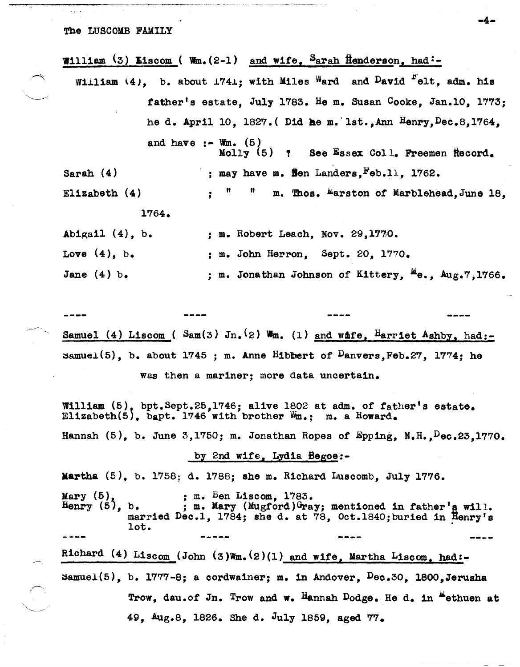| William (3) Liscom (Wm. (2-1) and wife, Sarah Henderson, had:-         |
|------------------------------------------------------------------------|
| William (4), b. about 1741; with Miles Ward and David "elt, adm. his   |
| father's estate, July 1783. He m. Susan Cooke, Jan.10, 1773;           |
| he d. April 10, 1827. (Did he m. 1st., Ann Henry, Dec. 8, 1764,        |
| and have :- Wm. $(5)$<br>Molly $(5)$ ? See Essex Coll. Freemen Record. |
| ; may have m. Sen Landers, Feb.11, 1762.<br>Sarah $(4)$                |
| : " " m. Thos. Marston of Marblehead, June 18,<br>Elizabeth $(4)$      |
| 1764.                                                                  |
| Abigail $(4)$ , b.<br>; m. Robert Leach, Nov. 29,1770.                 |
| Love $(4)$ , b.<br>; m. John Herron, Sept. 20, 1770.                   |

Jane  $(4)$  b. ; m. Jonathan Johnson of Kittery,  $^{\mu}$ e., Aug.7,1766.

Samuel (4) Liscom ( Sam(3) Jn. (2) Wm. (1) and whfe,  $\frac{\text{Harrlet Ashby}}{\text{hstrlet Ashby}}$ , had: samuel(5), b. about 1745 ; m. Anne Hibbert of  $D$ anvers, Feb.27, 1774; he was then a mariner; more data uncertain.

William  $(5)$ , bpt.Sept.25,1746; alive 1802 at adm. of father's estate. Elizabeth(5), bapt. 1746 with brother  $W_{m}$ : m. a Howard.

Hannah  $(5)$ , b. June 3,1750; m. Jonathan Ropes of Epping, N.H.,  $Dec.23.1770.$ 

## by 2nd wife, Lydia Begoe:-

Martha (5), b. 1758; d. 1788; she m. Richard Luscomb, July 1776.

Mary  $(5)$ , b.<br>Henry  $(5)$ , b. Mary (5), ; m. Ben Liscom, 1783.<br>Henry (5), b. ; m. Mary (Mugford)Gray; mentioned in father's will. married Dec.1, 1784; she d. at 78, Oct.1840; buried in Henry's lot.

Richard (4) Liscom (John (3)Wm. (2)(1) and wife, Martha Liscom, had: $sumuel(5)$ , b. 1777-8; a cordwainer; m. in Andover,  $Dec.30$ , 1800,Jerusha Trow, dau.of Jn. Trow and w. Hannah Dodge. He d. in "ethuen at 49, Aug.8, 1826. She d. July 1859, aged 77.

-4-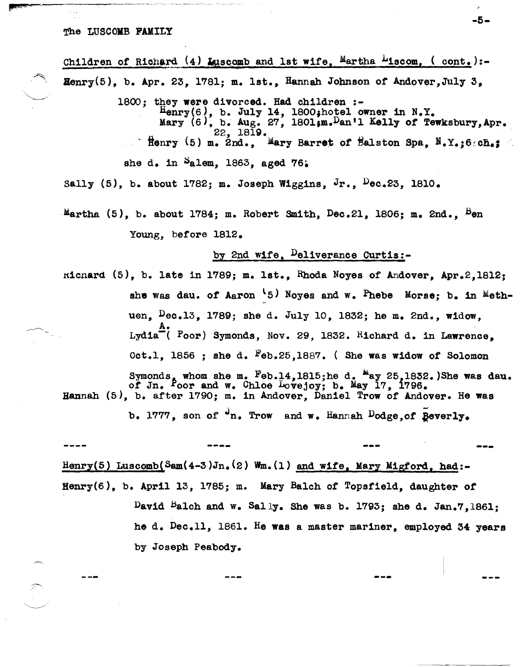#### The LUSCOMB FAMILY

Children of Richard  $(4)$  Luscomb and 1st wife, Martha  $\mu$ iscom, ( cont. ):- $\texttt{Henry}(5)$ , b. Apr. 23, 1781; m. 1st., Hannah Johnson of Andover, July 3,

1800: they were divorced. Had children :- $\overline{\text{Henry}}(6)$ , b. July 14, 1800; hotel owner in N.Y. Mary  $(6)$ , b. Aug. 27, 1801;m.Dan'l Kelly of Tewksbury, Apr.  $22, 1819.$   $22, 1819.$   $\text{Mary (5) m. 2nd.}$  Mary Barret of Balston Spa, N.Y.:6  $\text{ch.}$ she d. in  $a_{\text{alem}}$ , 1863, aged 76.

Sally  $(5)$ , b. about 1782; m. Joseph Wiggins, Jr.,  $Pec.23$ , 1810.

Martha  $(5)$ , b. about 1784; m. Robert Smith, Dec.21, 1806; m. 2nd., <sup>B</sup>en Young, before 1812.

## by 2nd wife, Deliverance Curtis:-

ricnard  $(5)$ , b. late in 1789; m. lst., Rhoda Noyes of Andover, Apr.2,1812; she was dau. of Aaron  $\{5\}$  Noyes and w. Phebe Morse; b. in Methuen. Dec.13. 1789; she d. July 10, 1832; he m. 2nd., widow,  $\overline{A}$ . Lydia<sup> $\ddot{=}$ </sup> ( <code>Poor</code>) Symonds, Nov. 29, 1832. Richard d. in Lawrence, Oct.l, 1856 ; she d. Feb.25,1887. ( She was widow of Solomon

Symonds, whom she m. Feb.14,1815;he d. <sup>Ma</sup>ay 25,1832.)She was dau.<br>of Jn. Poor and w. Chloe Lovejoy; b. May 17, 1796. of Jn. Poor and w. Chloe Lovejoy; b. May 17, 1796. Hannah (5), b. after 1790; m. in Andover, Dan1el Trow of Andover. He was

b. 1777, son of  $\mathbf{u}_n$ . Trow and w. Hannah  $\mathbf{Dodge}$ , of  $\mathbf{geverly}$ .

**----** --- Henry(5) Luscomb(Sam(4-3)Jn.(2) Wm.(1) and wife, Mary Migford, had:-Henry(6), b. April 13, 1785; m. Mary Balch of Topsfield, daughter of David Balch and w. Sally. She was b. 1793; she d. Jan.7,1861; he d. Dec.ll, 1861. He was a master mariner, employed 34 years by Joseph Peabody.

---

-5-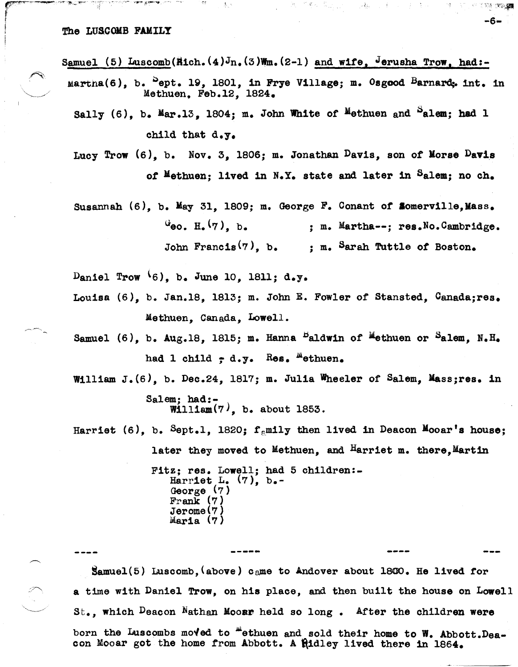### The LUSCOMB FAMILY

் உடல்கள் இன்படையில்

Samuel (5) Luscomb(Rich.(4)Jn.(3)Wm.(2-1) and wife, Jerusha Trow, had:-

, .

Martha(6), b.  $^5$ ept. 19, 1801, in Frye Village; m. Osgood Barnard, int. in Methuen, Feb.12, 1824.

ಕ ಗಡೆದು

내용자

-6-

**CARD CROSSED** 

Sally  $(6)$ , b. Mar.13, 1804; m. John White of Methuen and  $^S$ alem; had 1 chlld that d.y.

Lucy Trow  $(6)$ , b. Nov. 3, 1806; m. Jonathan Davis, son of Morse Davis of Methuen; lived in N.Y. state and later in Salem; no ch.

Susannah  $(6)$ , b. May 31, 1809; m. George F. Conant of **Somerville, Mass.**  $\mathcal{L}_{\text{evo}}$ . H.  $(\gamma)$ , b. ; m. Martha--; res.No.Cambridge. John Francis<sup>(7)</sup>, b. ; m. Sarah Tuttle of Boston.

Daniel Trow  $(6)$ , b. June 10, 1811; d.y.

- Louisa (6), b. Jan.1S, lS13; m. John E. Fowler of Stansted, Canada;res. Methuen, Oanada, Lowell.
- Samuel (6), b. Aug.18, 1815; m. Hanna  $B$ aldwin of  $M$ ethuen or  $S$ alem, N.H. had 1 child  $-$  d.y. Res. "ethuen.
- William J. (6), b. Dec.24, 1817; m. Julia Wheeler of Salem, Mass;res. in Salem; had:- William $(7)$ , b. about 1853.

Harriet (6), b. Sept.1, 1820;  $f_{\text{em}}$ ily then lived in Deacon Mooar's house; later they moved to Methuen, and Harriet m. there, Martin Fitz; res. Lowell; had 5 children:-Harriet L.  $(7)$ , b.-George (7) Frank  $(7)$ Jerome(7)<br>Maria (7)

Samuel(5) Luscomb,(above) Came to Andover about 1800. He lived for a time with Daniel Trow, on his place, and then built the house on Lowell St., which Deacon Nathan Mooar held so long. After the children were born the Luscombs moved to "ethuen and sold their home to W. Abbott.Deacon Mooar got the home from Abbott. A hidley lived there in 1864.

**-----**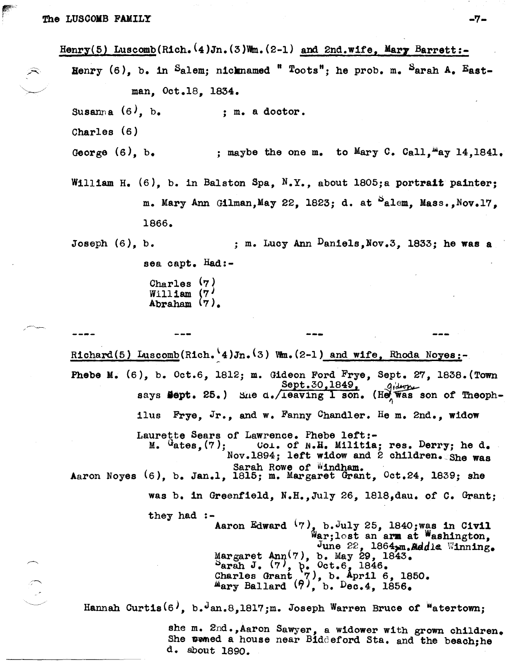Henry(5) Luscomb(Rich. $(4)$ Jn.(3)Wm.(2-1) and 2nd.wife. Mary Barrett:-Henry  $(6)$ , b. in Salem; nicknamed " Toots"; he prob. m. Sarah A. Eastman, Oct.18, 1834. Susanna  $(6)$ , b. Charles (6) George (6), b. ; m. a doctor. ; maybe the one m. to Mary C. Call, "ay  $14,1841$ . William H.  $(6)$ , b. in Balston Spa, N.Y., about 1805;a portrait painter;  $m.$  Mary Ann Gilman, May 22, 1823; d. at  $a$ lem, Mass., Nov.17, 1866. Joseph  $(6)$ , b.  $\qquad \qquad ;$  m. Lucy Ann  $\mu$ aniels,Nov.3, 1833; he was a sea capt. Had:- Charles (7)  $W1111$  am  $(7)$ Abraham (7). --- Richard(5) Luscomb(Rich. 4)Jn. (3) Wm.  $(2-1)$  and wife, Rhoda Noyes:-Phebe M.  $(6)$ , b. Oct.6, 1812; m. Gideon Ford Frye, Sept. 27, 1838. (Town  $S$ ept.30,1849,  $q_i$ dwn says **Sept.** 25.) She d./leaving 1 son. (He was son of Theophilus Frye, Jr., and w. Fanny Chandler. He m. 2nd., widow Laurette Sears of Lawrence. Phebe left:-<br>M.  $G_{\text{ates}}(7)$ ; Col. of N.H. Militia Coi. of  $N.H.$  Militia; res. Derry; he d. Nov.1894; left widow and 2 children. She was Sarah Rowe of Windham. Aaron Noyes  $(6)$ , b. Jan.1, 1815; m. Margaret Grant,  $0ct.24$ , 1839; she was b. in Greenfield, N.H.,July 26, l8l8,dau. of C. Grant; they had :- Aaron Edward  $(7)$ , b.July 25, 1840; was in Civil War;lost an arm at Washington, June 22,  $1864$ <sub>2</sub>m. Reddie Winning.  $\texttt{Margaret Ann(7), b. May 29, 1843.}$ arah J.  $(7)$ ,  $\beta$ . Oct.6, 1846. Charles Grant  $(7)$ , b. April 6, 1850.  $M_{\text{ary}}$  Ballard  $(9)$ , b. Dec.4, 1856. Hannah Curtis $(6)$ , b.<sup>J</sup>an.8,1817;m. Joseph Warren Bruce of <sup>W</sup>atertown; she m. 2nd., Aaron Sawyer, a widower with grown children. She womed a house near Biddeford Sta. and the beach;he d. about 1890.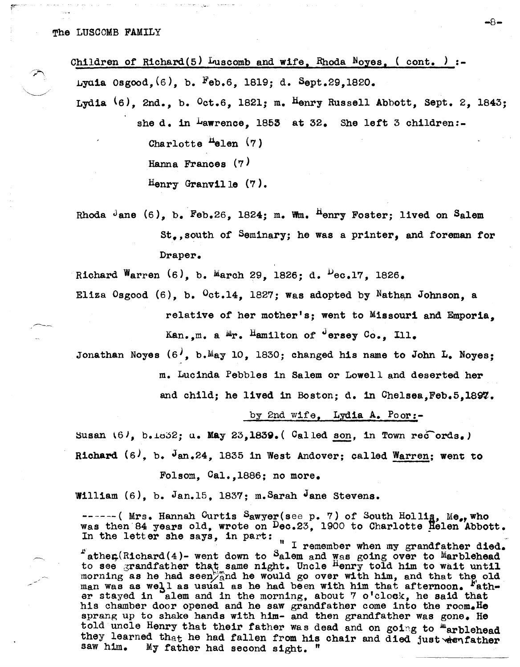| Children of Richard(5) Luscomb and wife, Rhoda Noyes, (cont.) :-               |
|--------------------------------------------------------------------------------|
| Lydia Osgood. (6). b. Feb.6, 1819; d. Sept.29,1820.                            |
| Lydia $(6)$ , 2nd., b. $0ct.6$ , 1821; m. Henry Russell Abbott, Sept. 2, 1843; |
| she d. in Lawrence. 1853 at 32. She left 3 children:-                          |
|                                                                                |

Charlotte  $H$ elen  $(7)$ Hanna Frances (7)

: .....

Henry Granville (7).

Rhoda Jane  $(6)$ , b. Feb.26, 1824; m. Wm.  $^{H}$ enry Foster; lived on Salem St.,south *or* Seminary; he was a printer, and foreman ror Draper.

Richard Warren  $(6)$ , b. March 29, 1826; d.  $Pec.17$ , 1826.

Eliza Osgood  $(6)$ , b.  $0$ ct.14, 1827; was adopted by Nathan Johnson, a relative *or* her mother's; went to Missouri and Emporia,

Kan.,m. a Mr. Hamilton of <sup>J</sup>ersey Co., Ill.

Jonathan Noyes  $(6)$ , b.May 10, 1830; changed his name to John L. Noyes;

m. Lucinda Pebbles in Salem or Lowell and deserted her

and child; he lived in Boston; d. in Chelsea.Feb.5.1897.

by 2nd Wife, Lydia A. Poor:-

Susan  $(6)$ , b. $1632$ ; u. May 23,1839. (Called son, in Town records.)

Richard  $(6)$ , b. Jan.24, 1835 in West Andover; called Warren; went to

Folsom, Ca1.,1886; no more.

William  $(6)$ , b. Jan.15, 1837; m. Sarah Jane Stevens.

------( Mrs. Hannah Curtis Sawyer(see p. 7) of South Hollig, Me., who was then 84 years old, wrote on  $\text{Dec.23}$ , 1900 to Charlotte  $\text{Helen }$ Abbott. In the letter she says, in part:

" I remember when my grandfather died.  $T$ ather(Richard(4)- went down to Salem and Was going over to Marblehead to see grandfather that same night. Uncle  $^{H}$ enry told him to wait until morning as he had seen) and he would go over with him, and that the old man was as well as usual as he had been with him that afternoon.  $F_{ath}$ . er stayed in alem and in the morning, about 7 o'clock, he said that his chamber door opened and he saw grandfather come into the room. He sprang up to shake hands with him- and then grandfather was gone. He told uncle Henry that their father was dead and on going to "arblehead they learned that he had fallen from his chair and died just when father saw him. My father had second sight. "  $My$  father had second sight. "

-8-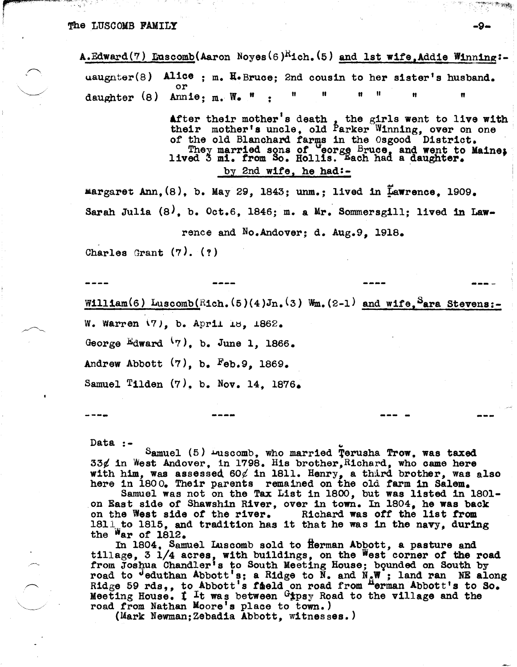A.Edward(7) Euscomb(Aaron Noyes(6)<sup>R</sup>ich.(5) and 1st wife, Addie Winning:uaughter(8) Alice ; m. H. Bruce; 2nd cousin to her sister's husband. daughter (8) Annie: m. W. "

> After their mother's death, the girls went to live with<br>their mother's uncle, old Parker Winning, over on one of the old Blanchard farms in the Osgood District.<br>They married sons of 'eorge Bruce, and went to Maine;<br>lived 3 mi. from So. Hollis. Each had a daughter. by 2nd wife, he had:-

margaret Ann, (8), b. May 29, 1843; unm.; lived in Lawrence. 1909. Sarah Julia  $(8)$ , b. Oct.6, 1846; m. a Mr. Sommersgill; lived in Law-

rence and No.Andover; d. Aug.9, 1918.

Charles Grant  $(7)$ .  $(?)$ 

William(6) Luscomb(Rich.(5)(4)Jn.(3) Wm.(2-1) and wife, Sara Stevens:-

W. Warren  $(7)$ , b. April 18, 1862.

George Edward  $(7)$ , b. June 1, 1866.

Andrew Abbott  $(7)$ , b.  $Feb.9$ , 1869.

Samuel Tilden  $(7)$ , b. Nov. 14, 1876.

Data  $: -$ 

Samuel (5) Luscomb, who married Terusha Trow, was taxed 33¢ in West Andover, in 1798. His brother, Richard, who came here with him, was assessed  $60\ell$  in 1811. Henry, a third brother, was also

here in 1800. Their parents remained on the old farm in Salem.<br>Samuel was not on the Tax List in 1800, but was listed in 1801on East side of Shawshin River, over in town. In 1804, he was back on the West side of the river. Richard was off the list from 1811 to 1815, and tradition has it that he was in the navy, during the  $M_{\rm}$  of 1812.

In 1804, Samuel Luscomb sold to Herman Abbott, a pasture and tillage, 3 1/4 acres, with buildings, on the West corner of the road from Joshua Chandler's to South Meeting House; bounded on South by road to <sup>J</sup>eduthan Abbott's; a Ridge to N. and  $N_cW$ ; land ran NE along Ridge 59 rds,, to Abbott's field on road from Herman Abbott's to So.<br>Meeting House. I It was between <sup>G</sup>\*psy Road to the village and the road from Nathan Moore's place to town.)

(Mark Newman: Zebadia Abbott, witnesses.)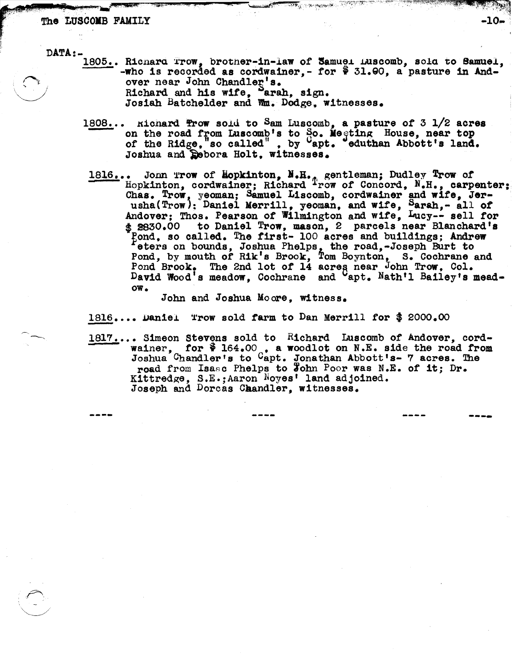#### The LUSCOMB FAMILY

DATA:-

 $\bigodot$ 

1805.. Richard Trow, brother-in-law of Samuel Luscomb, sola to Samuel, -who is recorded as cordwainer, - for  $\frac{6}{7}$  31.90, a pasture in Andover near John Chandler's. Richard and his wife, Sarah, sign.<br>Josiah Batchelder and Whm. Dodge, witnesses.

 $\mathcal{L}^{\mathcal{A}}(V^{*},\mathcal{C}^{*},\mathcal{C}^{*},\mathcal{C}^{*},\mathcal{C}^{*},\mathcal{C}^{*},\mathcal{C}^{*},\mathcal{C}^{*},\mathcal{C}^{*},\mathcal{C}^{*},\mathcal{C}^{*},\mathcal{C}^{*},\mathcal{C}^{*},\mathcal{C}^{*},\mathcal{C}^{*},\mathcal{C}^{*},\mathcal{C}^{*},\mathcal{C}^{*},\mathcal{C}^{*},\mathcal{C}^{*},\mathcal{C}^{*},\mathcal{C}^{*},\mathcal{C}^{*},\mathcal{$ 

 $-10-$ 

**-.. -...** 

- 1808... Hichard frow sold to Sam Luscomb, a pasture of 3 1/2 acres on the road from Luscomb's to So. Megting House, near top of the Ridge, so called", by Capt. eduthan Abbott's land. Joshua and Debora Holt, witnesses.
- 1816... John Trow of Hopkinton, N.H., gentleman; Dudley Trow of Hopkinton, cordwainer; Richard Trow of Concord, N.H., carpenter; Hopkinton, cordwainer; Richard <sup>T</sup>row of Concord, N.H., carpenter; Chas. Trow, yeoman; Samuel Liscomb, cordwainer and wife, Jerusha(Trow); Daniel Merrill, yeoman, and wife, Sarah,- all of Andover; Thos. Pearson of Wilmington and wife, Lucy-- sell for  $$2830.00$  to Daniel Trow, mason, 2 parcels near Blanchard's Pond, so called. The first- 100 acres and buildings; Andrew eters on bounds, Joshua Phelps, the road,-Joseph Burt to Pond, by mouth of Rik's Brook, Tom Boynton, S. Cochrane and Pond Brook. The 2nd lot of 14 acres near John Trow, Col. David Wood's meadow, Cochrane and Capt. Nath'l Bailey's meadow.

John and Joshua Moore, witness.

1816.... Daniel Trow sold farm to Dan Merrill for \$ 2000.00<br>1817.... Simeon Stevens sold to Richard Luscomb of Andover, cord-. Simson Stevens sold to "lichard Luscomo of Andover, cord-<br>wainer, for  $\mathbf{\hat{v}}$  164.00, a woodlot on N.E. side the road from Joshua Chandler's to Capt. Jonathan Abbott's- 7 acres. The road from Isasc Phelps to John Poor was N.E. of it; Dr. Kittredge, S.E.;Aaron Noyes' land adjoined.<br>Joseph and Dorcas Chandler, witnesses.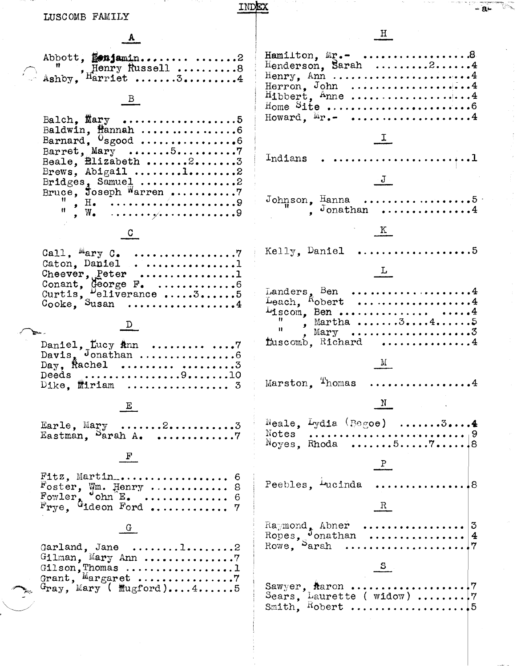| INDEX                                                                                                         |                                                                                          |
|---------------------------------------------------------------------------------------------------------------|------------------------------------------------------------------------------------------|
| LUSCOMB FAMILY                                                                                                |                                                                                          |
|                                                                                                               | $\frac{H}{\sqrt{2}}$                                                                     |
| Abbott, fonjamin2<br>Ashby, Henry Russell 8                                                                   | Hamilton, $\mathbb{E}e$ . 8<br>Henderson, Sarah $\ldots \ldots \ldots 2 \ldots \ldots 4$ |
| $B_{-}$                                                                                                       |                                                                                          |
| Balch, $\texttt{Mary}$ 5<br>Baldwin, Mannah 6<br>Barnard, $0$ sgood 6                                         | Howard, $M_{\Gamma}$ . 4                                                                 |
| Barret, Mary $\ldots \ldots 5 \ldots \ldots \ldots \ldots$<br>Beale, <i>Elizabeth</i> 23<br>Brews, Abigail l2 |                                                                                          |
| Bridges, Samuel 2<br>Bruce, Joseph Warren 7                                                                   | J                                                                                        |
| $\frac{1}{2}$ W. 9                                                                                            | K                                                                                        |
| Caton, Daniel1                                                                                                | Kelly, Daniel 5                                                                          |
| Cheever, $P$ eter 1<br>Conant, George F. 6<br>Curtis, Peliverance 35<br>Cooke, Susan 4                        | $\frac{1}{\sqrt{2}}$<br>Landers, Ben 4<br>Leach, $Kobert$ 4                              |
|                                                                                                               | $Liscom, Ben \ldots \ldots \ldots \ldots \ldots$<br>$\frac{11}{2}$ , Martha345<br>Ħ.,    |
| Daniel, Lucy Ann   7<br>Davis, Jonathan 6<br>Day, Rachel $\ldots \ldots$                                      | fuscomb, Richard 4                                                                       |
| Deeds $\ldots$ 910<br>$Dike$ , $Miniam$ 3                                                                     | Marston, Thomas<br>. . <i>.</i> 4                                                        |
| $\mathbf{E}$                                                                                                  | $\frac{N}{N}$                                                                            |
| Earle, $Many$ 23<br>Eastman, Sarah A. 7                                                                       | Neale, Lydia (Begoe) $\ldots \ldots \ldots$                                              |
| $\mathbf{F}$                                                                                                  |                                                                                          |
| Foster, Wm. Henry  8<br>Fowler, ohn E.  6<br>$\mathrm{Frye}_{1}$ , <sup>G</sup> ideon Ford  7                 | Peebles, <sup>incinda</sup> 8<br>$\mathbb{R}$                                            |
| Garland, Jane $\ldots \ldots \ldots 1 \ldots \ldots 2$                                                        |                                                                                          |
| Gilson, Thomas 1<br>Grant, Margaret 7                                                                         | $\frac{S}{1}$                                                                            |
| $G_{\textbf{ray}}$ , Mary ( $\text{Mugford}$ )45                                                              |                                                                                          |
|                                                                                                               |                                                                                          |